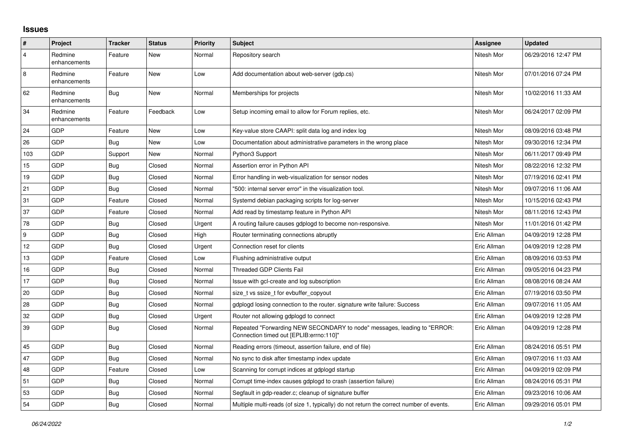## **Issues**

| $\vert$ #      | Project                 | <b>Tracker</b> | <b>Status</b> | <b>Priority</b> | <b>Subject</b>                                                                                                      | <b>Assignee</b> | <b>Updated</b>      |
|----------------|-------------------------|----------------|---------------|-----------------|---------------------------------------------------------------------------------------------------------------------|-----------------|---------------------|
| $\overline{4}$ | Redmine<br>enhancements | Feature        | New           | Normal          | Repository search                                                                                                   | Nitesh Mor      | 06/29/2016 12:47 PM |
| $\,8\,$        | Redmine<br>enhancements | Feature        | New           | Low             | Add documentation about web-server (gdp.cs)                                                                         | Nitesh Mor      | 07/01/2016 07:24 PM |
| 62             | Redmine<br>enhancements | <b>Bug</b>     | New           | Normal          | Memberships for projects                                                                                            | Nitesh Mor      | 10/02/2016 11:33 AM |
| 34             | Redmine<br>enhancements | Feature        | Feedback      | Low             | Setup incoming email to allow for Forum replies, etc.                                                               | Nitesh Mor      | 06/24/2017 02:09 PM |
| 24             | <b>GDP</b>              | Feature        | <b>New</b>    | Low             | Key-value store CAAPI: split data log and index log                                                                 | Nitesh Mor      | 08/09/2016 03:48 PM |
| 26             | GDP                     | Bug            | New           | Low             | Documentation about administrative parameters in the wrong place                                                    | Nitesh Mor      | 09/30/2016 12:34 PM |
| 103            | <b>GDP</b>              | Support        | New           | Normal          | Python3 Support                                                                                                     | Nitesh Mor      | 06/11/2017 09:49 PM |
| 15             | GDP                     | Bug            | Closed        | Normal          | Assertion error in Python API                                                                                       | Nitesh Mor      | 08/22/2016 12:32 PM |
| 19             | GDP                     | <b>Bug</b>     | Closed        | Normal          | Error handling in web-visualization for sensor nodes                                                                | Nitesh Mor      | 07/19/2016 02:41 PM |
| 21             | GDP                     | <b>Bug</b>     | Closed        | Normal          | "500: internal server error" in the visualization tool.                                                             | Nitesh Mor      | 09/07/2016 11:06 AM |
| 31             | <b>GDP</b>              | Feature        | Closed        | Normal          | Systemd debian packaging scripts for log-server                                                                     | Nitesh Mor      | 10/15/2016 02:43 PM |
| 37             | GDP                     | Feature        | Closed        | Normal          | Add read by timestamp feature in Python API                                                                         | Nitesh Mor      | 08/11/2016 12:43 PM |
| 78             | <b>GDP</b>              | <b>Bug</b>     | Closed        | Urgent          | A routing failure causes gdplogd to become non-responsive.                                                          | Nitesh Mor      | 11/01/2016 01:42 PM |
| 9              | <b>GDP</b>              | <b>Bug</b>     | Closed        | High            | Router terminating connections abruptly                                                                             | Eric Allman     | 04/09/2019 12:28 PM |
| 12             | GDP                     | <b>Bug</b>     | Closed        | Urgent          | Connection reset for clients                                                                                        | Eric Allman     | 04/09/2019 12:28 PM |
| 13             | GDP                     | Feature        | Closed        | Low             | Flushing administrative output                                                                                      | Eric Allman     | 08/09/2016 03:53 PM |
| 16             | <b>GDP</b>              | <b>Bug</b>     | Closed        | Normal          | <b>Threaded GDP Clients Fail</b>                                                                                    | Eric Allman     | 09/05/2016 04:23 PM |
| 17             | GDP                     | Bug            | Closed        | Normal          | Issue with gcl-create and log subscription                                                                          | Eric Allman     | 08/08/2016 08:24 AM |
| 20             | <b>GDP</b>              | <b>Bug</b>     | Closed        | Normal          | size t vs ssize t for evbuffer copyout                                                                              | Eric Allman     | 07/19/2016 03:50 PM |
| 28             | <b>GDP</b>              | Bug            | Closed        | Normal          | gdplogd losing connection to the router. signature write failure: Success                                           | Eric Allman     | 09/07/2016 11:05 AM |
| 32             | GDP                     | Bug            | Closed        | Urgent          | Router not allowing gdplogd to connect                                                                              | Eric Allman     | 04/09/2019 12:28 PM |
| 39             | GDP                     | <b>Bug</b>     | Closed        | Normal          | Repeated "Forwarding NEW SECONDARY to node" messages, leading to "ERROR:<br>Connection timed out [EPLIB:errno:110]" | Eric Allman     | 04/09/2019 12:28 PM |
| 45             | GDP                     | Bug            | Closed        | Normal          | Reading errors (timeout, assertion failure, end of file)                                                            | Eric Allman     | 08/24/2016 05:51 PM |
| 47             | GDP                     | Bug            | Closed        | Normal          | No sync to disk after timestamp index update                                                                        | Eric Allman     | 09/07/2016 11:03 AM |
| 48             | <b>GDP</b>              | Feature        | Closed        | Low             | Scanning for corrupt indices at gdplogd startup                                                                     | Eric Allman     | 04/09/2019 02:09 PM |
| 51             | <b>GDP</b>              | Bug            | Closed        | Normal          | Corrupt time-index causes gdplogd to crash (assertion failure)                                                      | Eric Allman     | 08/24/2016 05:31 PM |
| 53             | GDP                     | Bug            | Closed        | Normal          | Segfault in gdp-reader.c; cleanup of signature buffer                                                               | Eric Allman     | 09/23/2016 10:06 AM |
| 54             | GDP                     | Bug            | Closed        | Normal          | Multiple multi-reads (of size 1, typically) do not return the correct number of events.                             | Eric Allman     | 09/29/2016 05:01 PM |